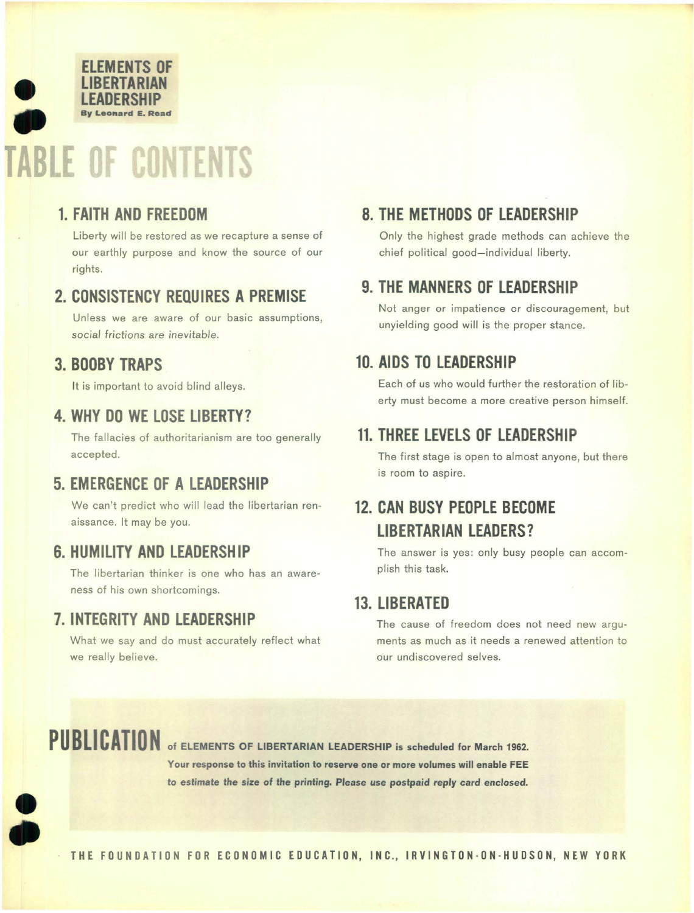

#### 1. FAITH AND FREEDOM

Liberty will be restored as we recapture a sense of our earthly purpose and know the source of our rights.

#### 2. CONSISTENCY REQUIRES A PREMISE

Unless we are aware of our basic assumptions, social frictions are inevitable.

#### 3. BOOBY TRAPS

It is important to avoid blind alleys.

#### 4. WHY DO WE LOSE LIBERTY?

The fallacies of authoritarianism are too generally accepted.

#### 5. EMERGENCE OF A LEADERSHIP

We can't predict who will lead the libertarian renaissance. It may be you.

#### 6. HUMILITY AND LEADERSHIP

The libertarian thinker is one who has an awareness of his own shortcomings.

#### 7. INTEGRITY AND LEADERSHIP

What we say and do must accurately reflect what we really believe.

#### 8. THE METHODS OF LEADERSHIP

Only the highest grade methods can achieve the chief political good-individual liberty.

#### 9. THE MANNERS OF LEADERSHIP

Not anger or impatience or discouragement, but unyielding good will is the proper stance.

#### 10. AIDS TO LEADERSHIP

Each of us who would further the restoration of liberty must become a more creative person himself.

#### 11. THREE LEVELS OF LEADERSHIP

The first stage is open to almost anyone, but there is room to aspire.

### 12. CAN BUSY PEOPLE BECOME LIBERTARIAN LEADERS?

The answer is yes: only busy people can accomplish this task.

#### 13. LIBERATED

The cause of freedom does not need new arguments as much as it needs a renewed attention to our undiscovered selves.

e

•

PUBLICATION of ELEMENTS OF LIBERTARIAN LEADERSHIP is scheduled for March 1962. Your response to this invitation to reserve one or more volumes will enable FEE to estimate the size of the printing. Please use postpaid reply card enclosed.